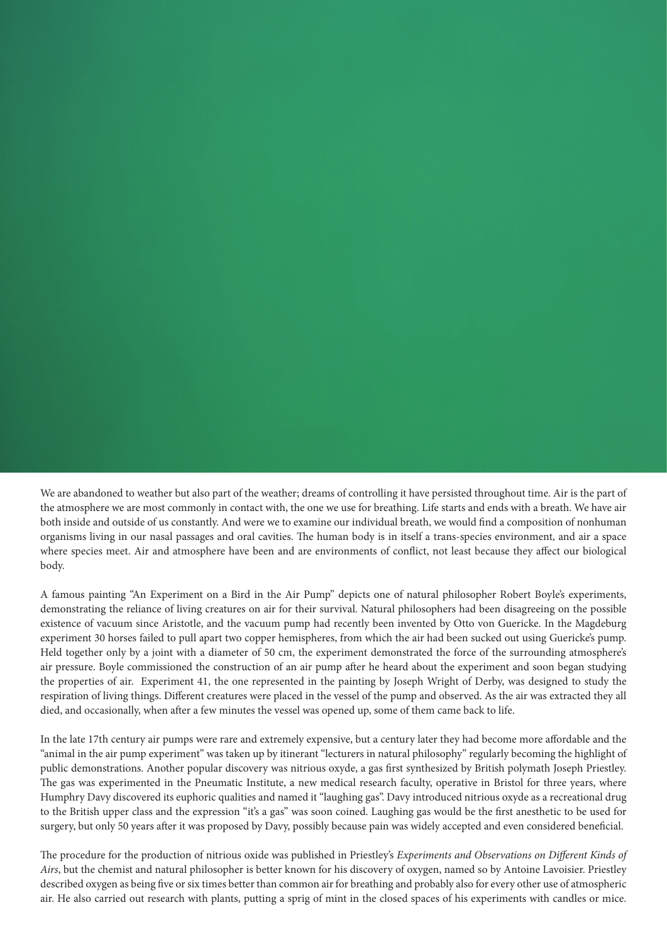We are abandoned to weather but also part of the weather; dreams of controlling it have persisted throughout time. Air is the part of the atmosphere we are most commonly in contact with, the one we use for breathing. Life starts and ends with a breath. We have air both inside and outside of us constantly. And were we to examine our individual breath, we would find a composition of nonhuman organisms living in our nasal passages and oral cavities. The human body is in itself a trans-species environment, and air a space where species meet. Air and atmosphere have been and are environments of conflict, not least because they affect our biological body.

A famous painting "An Experiment on a Bird in the Air Pump" depicts one of natural philosopher Robert Boyle's experiments, demonstrating the reliance of living creatures on air for their survival. Natural philosophers had been disagreeing on the possible existence of vacuum since Aristotle, and the vacuum pump had recently been invented by Otto von Guericke. In the Magdeburg experiment 30 horses failed to pull apart two copper hemispheres, from which the air had been sucked out using Guericke's pump. Held together only by a joint with a diameter of 50 cm, the experiment demonstrated the force of the surrounding atmosphere's air pressure. Boyle commissioned the construction of an air pump after he heard about the experiment and soon began studying the properties of air. Experiment 41, the one represented in the painting by Joseph Wright of Derby, was designed to study the respiration of living things. Different creatures were placed in the vessel of the pump and observed. As the air was extracted they all died, and occasionally, when after a few minutes the vessel was opened up, some of them came back to life.

In the late 17th century air pumps were rare and extremely expensive, but a century later they had become more affordable and the "animal in the air pump experiment" was taken up by itinerant "lecturers in natural philosophy" regularly becoming the highlight of public demonstrations. Another popular discovery was nitrious oxyde, a gas first synthesized by British polymath Joseph Priestley. The gas was experimented in the Pneumatic Institute, a new medical research faculty, operative in Bristol for three years, where Humphry Davy discovered its euphoric qualities and named it "laughing gas". Davy introduced nitrious oxyde as a recreational drug to the British upper class and the expression "it's a gas" was soon coined. Laughing gas would be the first anesthetic to be used for surgery, but only 50 years after it was proposed by Davy, possibly because pain was widely accepted and even considered beneficial.

The procedure for the production of nitrious oxide was published in Priestley's *Experiments and Observations on Different Kinds of Airs*, but the chemist and natural philosopher is better known for his discovery of oxygen, named so by Antoine Lavoisier. Priestley described oxygen as being five or six times better than common air for breathing and probably also for every other use of atmospheric air. He also carried out research with plants, putting a sprig of mint in the closed spaces of his experiments with candles or mice.